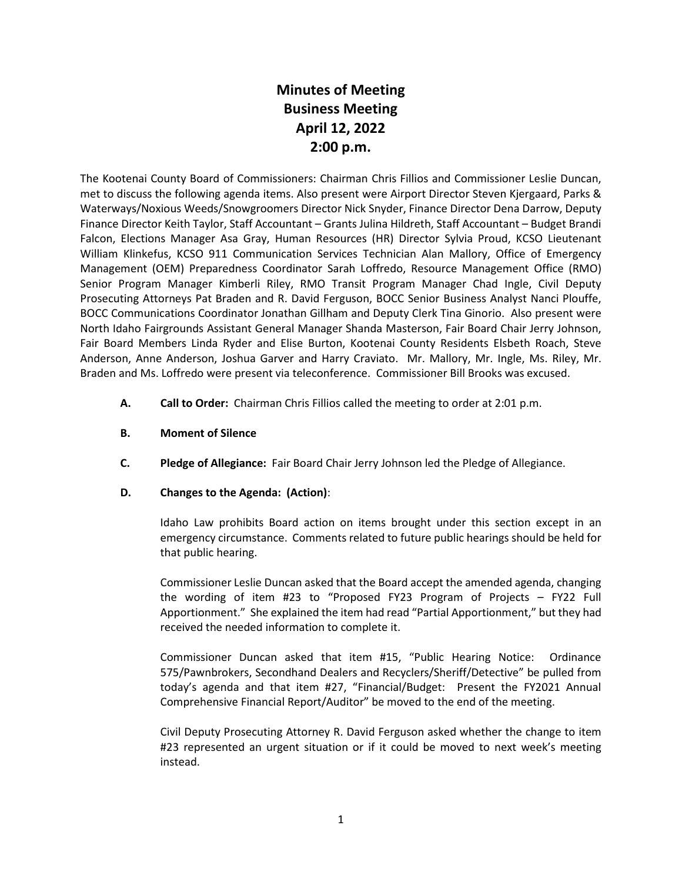# **Minutes of Meeting Business Meeting April 12, 2022 2:00 p.m.**

The Kootenai County Board of Commissioners: Chairman Chris Fillios and Commissioner Leslie Duncan, met to discuss the following agenda items. Also present were Airport Director Steven Kjergaard, Parks & Waterways/Noxious Weeds/Snowgroomers Director Nick Snyder, Finance Director Dena Darrow, Deputy Finance Director Keith Taylor, Staff Accountant – Grants Julina Hildreth, Staff Accountant – Budget Brandi Falcon, Elections Manager Asa Gray, Human Resources (HR) Director Sylvia Proud, KCSO Lieutenant William Klinkefus, KCSO 911 Communication Services Technician Alan Mallory, Office of Emergency Management (OEM) Preparedness Coordinator Sarah Loffredo, Resource Management Office (RMO) Senior Program Manager Kimberli Riley, RMO Transit Program Manager Chad Ingle, Civil Deputy Prosecuting Attorneys Pat Braden and R. David Ferguson, BOCC Senior Business Analyst Nanci Plouffe, BOCC Communications Coordinator Jonathan Gillham and Deputy Clerk Tina Ginorio. Also present were North Idaho Fairgrounds Assistant General Manager Shanda Masterson, Fair Board Chair Jerry Johnson, Fair Board Members Linda Ryder and Elise Burton, Kootenai County Residents Elsbeth Roach, Steve Anderson, Anne Anderson, Joshua Garver and Harry Craviato. Mr. Mallory, Mr. Ingle, Ms. Riley, Mr. Braden and Ms. Loffredo were present via teleconference. Commissioner Bill Brooks was excused.

- **A. Call to Order:** Chairman Chris Fillios called the meeting to order at 2:01 p.m.
- **B. Moment of Silence**
- **C. Pledge of Allegiance:** Fair Board Chair Jerry Johnson led the Pledge of Allegiance.

#### **D. Changes to the Agenda: (Action)**:

Idaho Law prohibits Board action on items brought under this section except in an emergency circumstance. Comments related to future public hearings should be held for that public hearing.

Commissioner Leslie Duncan asked that the Board accept the amended agenda, changing the wording of item #23 to "Proposed FY23 Program of Projects – FY22 Full Apportionment." She explained the item had read "Partial Apportionment," but they had received the needed information to complete it.

Commissioner Duncan asked that item #15, "Public Hearing Notice: Ordinance 575/Pawnbrokers, Secondhand Dealers and Recyclers/Sheriff/Detective" be pulled from today's agenda and that item #27, "Financial/Budget: Present the FY2021 Annual Comprehensive Financial Report/Auditor" be moved to the end of the meeting.

Civil Deputy Prosecuting Attorney R. David Ferguson asked whether the change to item #23 represented an urgent situation or if it could be moved to next week's meeting instead.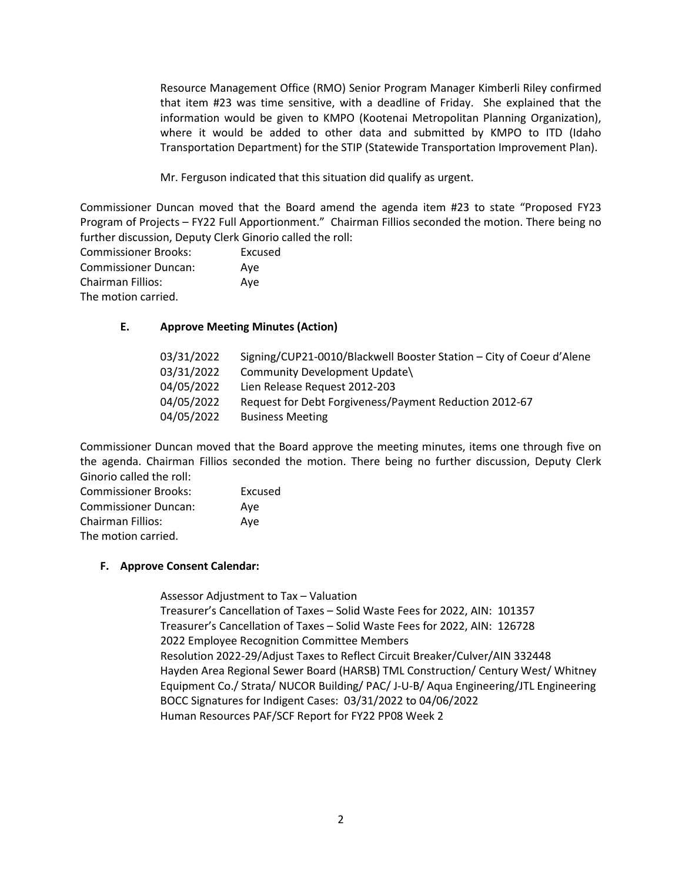Resource Management Office (RMO) Senior Program Manager Kimberli Riley confirmed that item #23 was time sensitive, with a deadline of Friday. She explained that the information would be given to KMPO (Kootenai Metropolitan Planning Organization), where it would be added to other data and submitted by KMPO to ITD (Idaho Transportation Department) for the STIP (Statewide Transportation Improvement Plan).

Mr. Ferguson indicated that this situation did qualify as urgent.

Commissioner Duncan moved that the Board amend the agenda item #23 to state "Proposed FY23 Program of Projects – FY22 Full Apportionment." Chairman Fillios seconded the motion. There being no further discussion, Deputy Clerk Ginorio called the roll:

Commissioner Brooks: Excused Commissioner Duncan: Aye Chairman Fillios: Aye The motion carried.

#### **E. Approve Meeting Minutes (Action)**

| 03/31/2022 | Signing/CUP21-0010/Blackwell Booster Station - City of Coeur d'Alene |
|------------|----------------------------------------------------------------------|
| 03/31/2022 | Community Development Update\                                        |
| 04/05/2022 | Lien Release Request 2012-203                                        |
| 04/05/2022 | Request for Debt Forgiveness/Payment Reduction 2012-67               |
| 04/05/2022 | <b>Business Meeting</b>                                              |

Commissioner Duncan moved that the Board approve the meeting minutes, items one through five on the agenda. Chairman Fillios seconded the motion. There being no further discussion, Deputy Clerk Ginorio called the roll:

| <b>Commissioner Brooks:</b> | Excused |
|-----------------------------|---------|
| <b>Commissioner Duncan:</b> | Ave     |
| Chairman Fillios:           | Ave     |
| The motion carried.         |         |

#### **F. Approve Consent Calendar:**

Assessor Adjustment to Tax – Valuation Treasurer's Cancellation of Taxes – Solid Waste Fees for 2022, AIN: 101357 Treasurer's Cancellation of Taxes – Solid Waste Fees for 2022, AIN: 126728 2022 Employee Recognition Committee Members Resolution 2022-29/Adjust Taxes to Reflect Circuit Breaker/Culver/AIN 332448 Hayden Area Regional Sewer Board (HARSB) TML Construction/ Century West/ Whitney Equipment Co./ Strata/ NUCOR Building/ PAC/ J-U-B/ Aqua Engineering/JTL Engineering BOCC Signatures for Indigent Cases: 03/31/2022 to 04/06/2022 Human Resources PAF/SCF Report for FY22 PP08 Week 2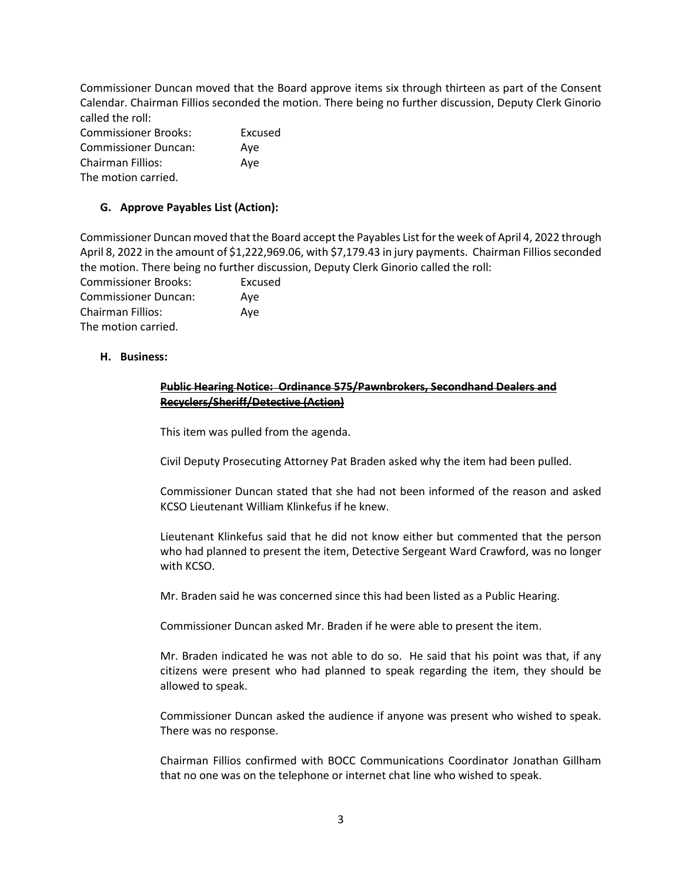Commissioner Duncan moved that the Board approve items six through thirteen as part of the Consent Calendar. Chairman Fillios seconded the motion. There being no further discussion, Deputy Clerk Ginorio called the roll:

| <b>Commissioner Brooks:</b> | Excused |
|-----------------------------|---------|
| <b>Commissioner Duncan:</b> | Ave     |
| <b>Chairman Fillios:</b>    | Ave     |
| The motion carried.         |         |

## **G. Approve Payables List (Action):**

Commissioner Duncan moved that the Board accept the Payables List for the week of April 4, 2022 through April 8, 2022 in the amount of \$1,222,969.06, with \$7,179.43 in jury payments. Chairman Fillios seconded the motion. There being no further discussion, Deputy Clerk Ginorio called the roll:

| <b>Commissioner Brooks:</b> | Excused |
|-----------------------------|---------|
| <b>Commissioner Duncan:</b> | Ave     |
| Chairman Fillios:           | Ave     |
| The motion carried.         |         |

#### **H. Business:**

#### **Public Hearing Notice: Ordinance 575/Pawnbrokers, Secondhand Dealers and Recyclers/Sheriff/Detective (Action)**

This item was pulled from the agenda.

Civil Deputy Prosecuting Attorney Pat Braden asked why the item had been pulled.

Commissioner Duncan stated that she had not been informed of the reason and asked KCSO Lieutenant William Klinkefus if he knew.

Lieutenant Klinkefus said that he did not know either but commented that the person who had planned to present the item, Detective Sergeant Ward Crawford, was no longer with KCSO.

Mr. Braden said he was concerned since this had been listed as a Public Hearing.

Commissioner Duncan asked Mr. Braden if he were able to present the item.

Mr. Braden indicated he was not able to do so. He said that his point was that, if any citizens were present who had planned to speak regarding the item, they should be allowed to speak.

Commissioner Duncan asked the audience if anyone was present who wished to speak. There was no response.

Chairman Fillios confirmed with BOCC Communications Coordinator Jonathan Gillham that no one was on the telephone or internet chat line who wished to speak.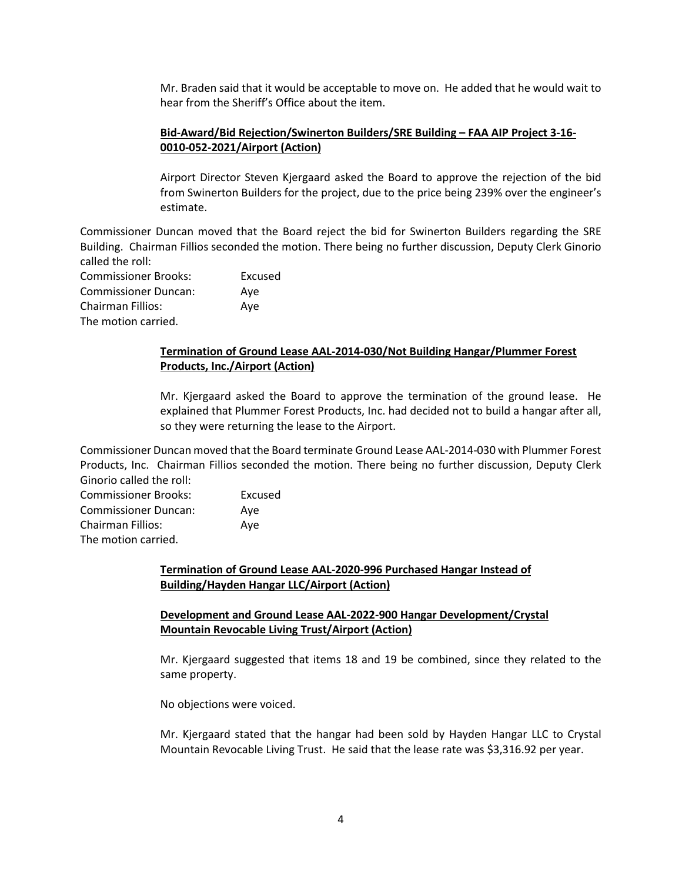Mr. Braden said that it would be acceptable to move on. He added that he would wait to hear from the Sheriff's Office about the item.

## **Bid-Award/Bid Rejection/Swinerton Builders/SRE Building – FAA AIP Project 3-16- 0010-052-2021/Airport (Action)**

Airport Director Steven Kjergaard asked the Board to approve the rejection of the bid from Swinerton Builders for the project, due to the price being 239% over the engineer's estimate.

Commissioner Duncan moved that the Board reject the bid for Swinerton Builders regarding the SRE Building. Chairman Fillios seconded the motion. There being no further discussion, Deputy Clerk Ginorio called the roll:

Commissioner Brooks: Excused Commissioner Duncan: Aye Chairman Fillios: Aye The motion carried.

#### **Termination of Ground Lease AAL-2014-030/Not Building Hangar/Plummer Forest Products, Inc./Airport (Action)**

Mr. Kjergaard asked the Board to approve the termination of the ground lease. He explained that Plummer Forest Products, Inc. had decided not to build a hangar after all, so they were returning the lease to the Airport.

Commissioner Duncan moved that the Board terminate Ground Lease AAL-2014-030 with Plummer Forest Products, Inc. Chairman Fillios seconded the motion. There being no further discussion, Deputy Clerk Ginorio called the roll:

Commissioner Brooks: Excused Commissioner Duncan: Aye Chairman Fillios: Aye The motion carried.

## **Termination of Ground Lease AAL-2020-996 Purchased Hangar Instead of Building/Hayden Hangar LLC/Airport (Action)**

## **Development and Ground Lease AAL-2022-900 Hangar Development/Crystal Mountain Revocable Living Trust/Airport (Action)**

Mr. Kjergaard suggested that items 18 and 19 be combined, since they related to the same property.

No objections were voiced.

Mr. Kjergaard stated that the hangar had been sold by Hayden Hangar LLC to Crystal Mountain Revocable Living Trust. He said that the lease rate was \$3,316.92 per year.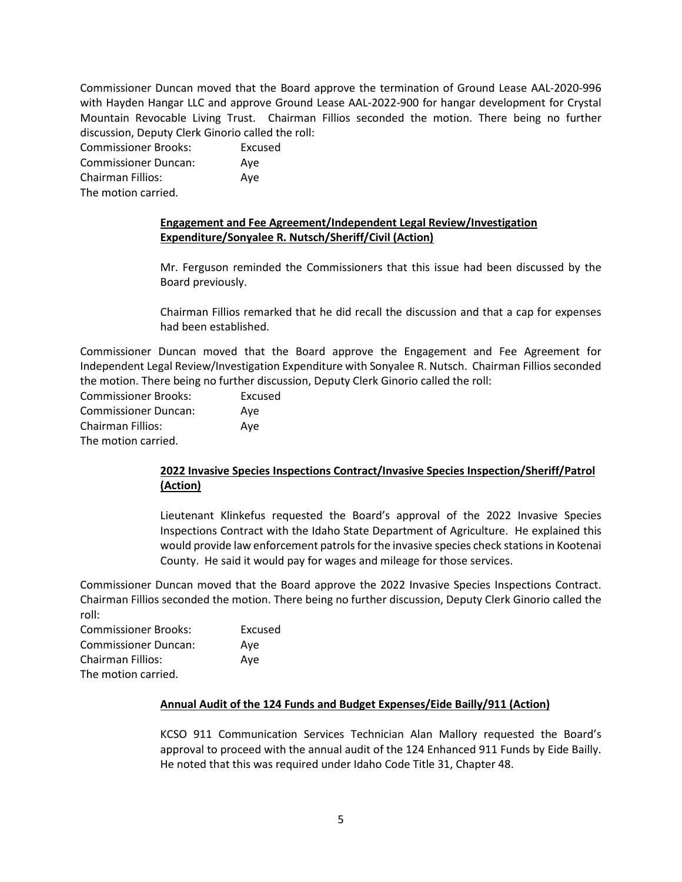Commissioner Duncan moved that the Board approve the termination of Ground Lease AAL-2020-996 with Hayden Hangar LLC and approve Ground Lease AAL-2022-900 for hangar development for Crystal Mountain Revocable Living Trust. Chairman Fillios seconded the motion. There being no further discussion, Deputy Clerk Ginorio called the roll:

Commissioner Brooks: Excused Commissioner Duncan: Aye Chairman Fillios: Aye The motion carried.

## **Engagement and Fee Agreement/Independent Legal Review/Investigation Expenditure/Sonyalee R. Nutsch/Sheriff/Civil (Action)**

Mr. Ferguson reminded the Commissioners that this issue had been discussed by the Board previously.

Chairman Fillios remarked that he did recall the discussion and that a cap for expenses had been established.

Commissioner Duncan moved that the Board approve the Engagement and Fee Agreement for Independent Legal Review/Investigation Expenditure with Sonyalee R. Nutsch. Chairman Fillios seconded the motion. There being no further discussion, Deputy Clerk Ginorio called the roll:

Commissioner Brooks: Excused Commissioner Duncan: Aye Chairman Fillios: Aye The motion carried.

# **2022 Invasive Species Inspections Contract/Invasive Species Inspection/Sheriff/Patrol (Action)**

Lieutenant Klinkefus requested the Board's approval of the 2022 Invasive Species Inspections Contract with the Idaho State Department of Agriculture. He explained this would provide law enforcement patrols for the invasive species check stations in Kootenai County. He said it would pay for wages and mileage for those services.

Commissioner Duncan moved that the Board approve the 2022 Invasive Species Inspections Contract. Chairman Fillios seconded the motion. There being no further discussion, Deputy Clerk Ginorio called the roll:

| <b>Commissioner Brooks:</b> | Excused |
|-----------------------------|---------|
| <b>Commissioner Duncan:</b> | Ave     |
| Chairman Fillios:           | Ave     |
| The motion carried.         |         |

#### **Annual Audit of the 124 Funds and Budget Expenses/Eide Bailly/911 (Action)**

KCSO 911 Communication Services Technician Alan Mallory requested the Board's approval to proceed with the annual audit of the 124 Enhanced 911 Funds by Eide Bailly. He noted that this was required under Idaho Code Title 31, Chapter 48.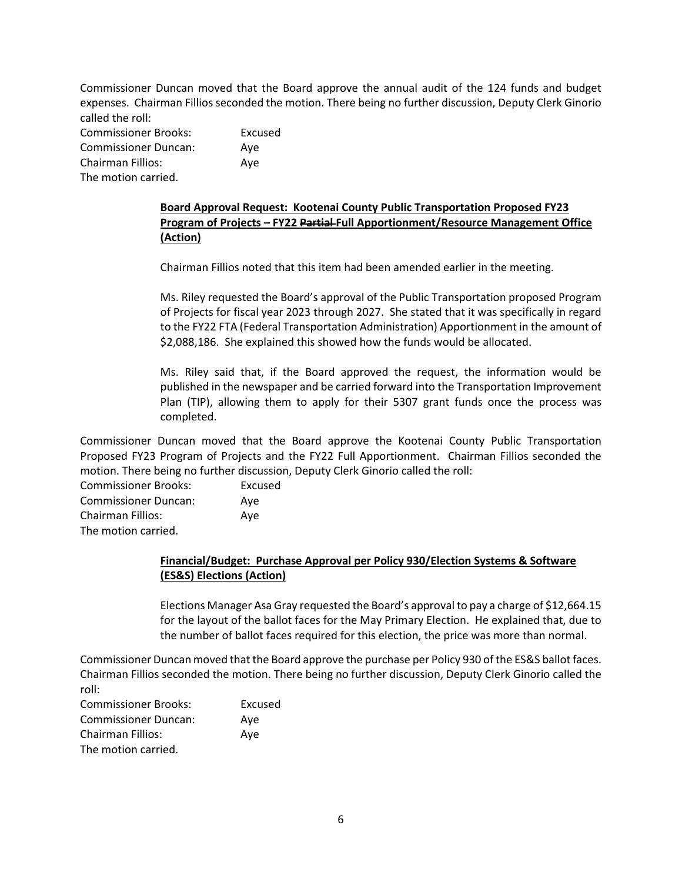Commissioner Duncan moved that the Board approve the annual audit of the 124 funds and budget expenses. Chairman Fillios seconded the motion. There being no further discussion, Deputy Clerk Ginorio called the roll:

Commissioner Brooks: Excused Commissioner Duncan: Aye Chairman Fillios: Aye The motion carried.

# **Board Approval Request: Kootenai County Public Transportation Proposed FY23 Program of Projects – FY22 Partial Full Apportionment/Resource Management Office (Action)**

Chairman Fillios noted that this item had been amended earlier in the meeting.

Ms. Riley requested the Board's approval of the Public Transportation proposed Program of Projects for fiscal year 2023 through 2027. She stated that it was specifically in regard to the FY22 FTA (Federal Transportation Administration) Apportionment in the amount of \$2,088,186. She explained this showed how the funds would be allocated.

Ms. Riley said that, if the Board approved the request, the information would be published in the newspaper and be carried forward into the Transportation Improvement Plan (TIP), allowing them to apply for their 5307 grant funds once the process was completed.

Commissioner Duncan moved that the Board approve the Kootenai County Public Transportation Proposed FY23 Program of Projects and the FY22 Full Apportionment. Chairman Fillios seconded the motion. There being no further discussion, Deputy Clerk Ginorio called the roll:

Commissioner Brooks: Excused Commissioner Duncan: Aye Chairman Fillios: Aye The motion carried.

## **Financial/Budget: Purchase Approval per Policy 930/Election Systems & Software (ES&S) Elections (Action)**

Elections Manager Asa Gray requested the Board's approval to pay a charge of \$12,664.15 for the layout of the ballot faces for the May Primary Election. He explained that, due to the number of ballot faces required for this election, the price was more than normal.

Commissioner Duncan moved that the Board approve the purchase per Policy 930 of the ES&S ballot faces. Chairman Fillios seconded the motion. There being no further discussion, Deputy Clerk Ginorio called the roll:

| <b>Commissioner Brooks:</b> | Excused |
|-----------------------------|---------|
| <b>Commissioner Duncan:</b> | Ave     |
| Chairman Fillios:           | Ave     |
| The motion carried.         |         |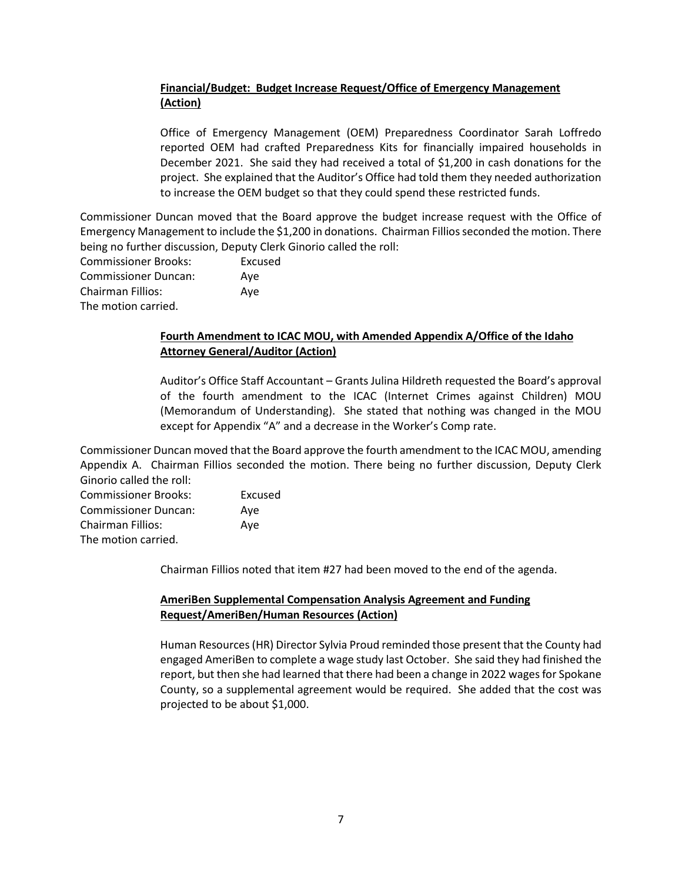# **Financial/Budget: Budget Increase Request/Office of Emergency Management (Action)**

Office of Emergency Management (OEM) Preparedness Coordinator Sarah Loffredo reported OEM had crafted Preparedness Kits for financially impaired households in December 2021. She said they had received a total of \$1,200 in cash donations for the project. She explained that the Auditor's Office had told them they needed authorization to increase the OEM budget so that they could spend these restricted funds.

Commissioner Duncan moved that the Board approve the budget increase request with the Office of Emergency Management to include the \$1,200 in donations. Chairman Fillios seconded the motion. There being no further discussion, Deputy Clerk Ginorio called the roll:

Commissioner Brooks: Excused Commissioner Duncan: Aye Chairman Fillios: Aye The motion carried.

## **Fourth Amendment to ICAC MOU, with Amended Appendix A/Office of the Idaho Attorney General/Auditor (Action)**

Auditor's Office Staff Accountant – Grants Julina Hildreth requested the Board's approval of the fourth amendment to the ICAC (Internet Crimes against Children) MOU (Memorandum of Understanding). She stated that nothing was changed in the MOU except for Appendix "A" and a decrease in the Worker's Comp rate.

Commissioner Duncan moved that the Board approve the fourth amendment to the ICAC MOU, amending Appendix A. Chairman Fillios seconded the motion. There being no further discussion, Deputy Clerk Ginorio called the roll:

| <b>Commissioner Brooks:</b> | Excused |
|-----------------------------|---------|
| <b>Commissioner Duncan:</b> | Ave     |
| Chairman Fillios:           | Ave     |
| The motion carried.         |         |

Chairman Fillios noted that item #27 had been moved to the end of the agenda.

# **AmeriBen Supplemental Compensation Analysis Agreement and Funding Request/AmeriBen/Human Resources (Action)**

Human Resources (HR) Director Sylvia Proud reminded those present that the County had engaged AmeriBen to complete a wage study last October. She said they had finished the report, but then she had learned that there had been a change in 2022 wages for Spokane County, so a supplemental agreement would be required. She added that the cost was projected to be about \$1,000.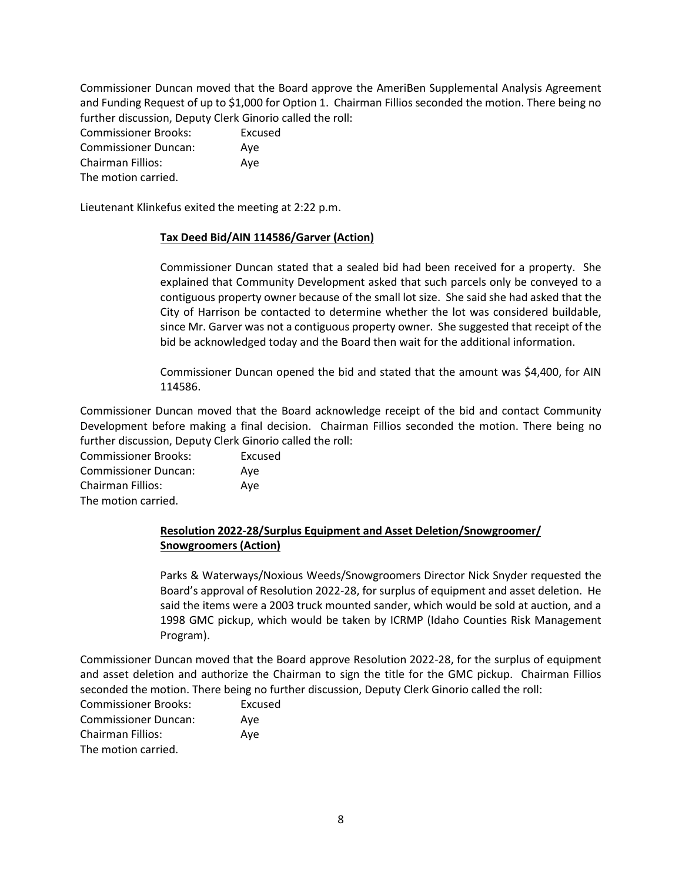Commissioner Duncan moved that the Board approve the AmeriBen Supplemental Analysis Agreement and Funding Request of up to \$1,000 for Option 1. Chairman Fillios seconded the motion. There being no further discussion, Deputy Clerk Ginorio called the roll:

| <b>Commissioner Brooks:</b> | Excused |
|-----------------------------|---------|
| <b>Commissioner Duncan:</b> | Ave     |
| <b>Chairman Fillios:</b>    | Ave     |
| The motion carried.         |         |

Lieutenant Klinkefus exited the meeting at 2:22 p.m.

#### **Tax Deed Bid/AIN 114586/Garver (Action)**

Commissioner Duncan stated that a sealed bid had been received for a property. She explained that Community Development asked that such parcels only be conveyed to a contiguous property owner because of the small lot size. She said she had asked that the City of Harrison be contacted to determine whether the lot was considered buildable, since Mr. Garver was not a contiguous property owner. She suggested that receipt of the bid be acknowledged today and the Board then wait for the additional information.

Commissioner Duncan opened the bid and stated that the amount was \$4,400, for AIN 114586.

Commissioner Duncan moved that the Board acknowledge receipt of the bid and contact Community Development before making a final decision. Chairman Fillios seconded the motion. There being no further discussion, Deputy Clerk Ginorio called the roll:

| <b>Commissioner Brooks:</b> | Excused |
|-----------------------------|---------|
| <b>Commissioner Duncan:</b> | Ave     |
| Chairman Fillios:           | Ave     |
| The motion carried.         |         |

# **Resolution 2022-28/Surplus Equipment and Asset Deletion/Snowgroomer/ Snowgroomers (Action)**

Parks & Waterways/Noxious Weeds/Snowgroomers Director Nick Snyder requested the Board's approval of Resolution 2022-28, for surplus of equipment and asset deletion. He said the items were a 2003 truck mounted sander, which would be sold at auction, and a 1998 GMC pickup, which would be taken by ICRMP (Idaho Counties Risk Management Program).

Commissioner Duncan moved that the Board approve Resolution 2022-28, for the surplus of equipment and asset deletion and authorize the Chairman to sign the title for the GMC pickup. Chairman Fillios seconded the motion. There being no further discussion, Deputy Clerk Ginorio called the roll:

| <b>Commissioner Brooks:</b> | Excused |
|-----------------------------|---------|
| <b>Commissioner Duncan:</b> | Ave     |
| <b>Chairman Fillios:</b>    | Ave     |
| The motion carried.         |         |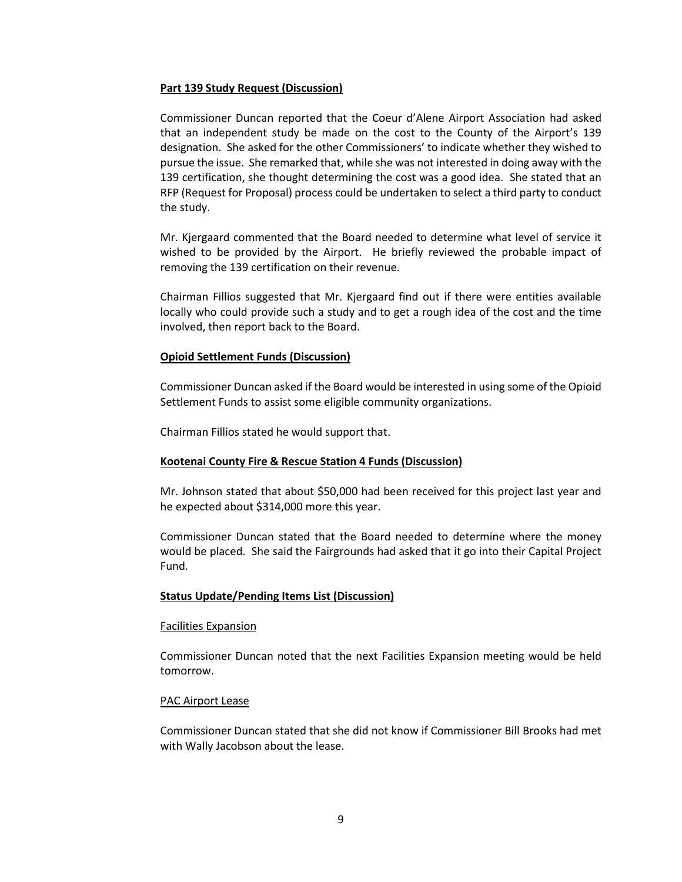#### **Part 139 Study Request (Discussion)**

Commissioner Duncan reported that the Coeur d'Alene Airport Association had asked that an independent study be made on the cost to the County of the Airport's 139 designation. She asked for the other Commissioners' to indicate whether they wished to pursue the issue. She remarked that, while she was not interested in doing away with the 139 certification, she thought determining the cost was a good idea. She stated that an RFP (Request for Proposal) process could be undertaken to select a third party to conduct the study.

Mr. Kjergaard commented that the Board needed to determine what level of service it wished to be provided by the Airport. He briefly reviewed the probable impact of removing the 139 certification on their revenue.

Chairman Fillios suggested that Mr. Kjergaard find out if there were entities available locally who could provide such a study and to get a rough idea of the cost and the time involved, then report back to the Board.

#### **Opioid Settlement Funds (Discussion)**

Commissioner Duncan asked if the Board would be interested in using some of the Opioid Settlement Funds to assist some eligible community organizations.

Chairman Fillios stated he would support that.

#### **Kootenai County Fire & Rescue Station 4 Funds (Discussion)**

Mr. Johnson stated that about \$50,000 had been received for this project last year and he expected about \$314,000 more this year.

Commissioner Duncan stated that the Board needed to determine where the money would be placed. She said the Fairgrounds had asked that it go into their Capital Project Fund.

#### **Status Update/Pending Items List (Discussion)**

#### Facilities Expansion

Commissioner Duncan noted that the next Facilities Expansion meeting would be held tomorrow.

#### PAC Airport Lease

Commissioner Duncan stated that she did not know if Commissioner Bill Brooks had met with Wally Jacobson about the lease.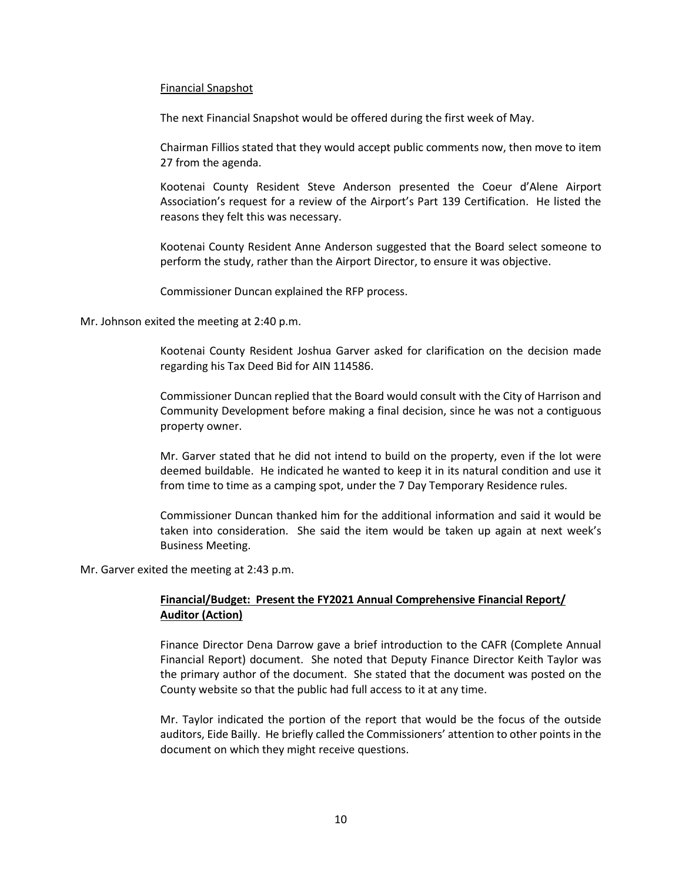#### Financial Snapshot

The next Financial Snapshot would be offered during the first week of May.

Chairman Fillios stated that they would accept public comments now, then move to item 27 from the agenda.

Kootenai County Resident Steve Anderson presented the Coeur d'Alene Airport Association's request for a review of the Airport's Part 139 Certification. He listed the reasons they felt this was necessary.

Kootenai County Resident Anne Anderson suggested that the Board select someone to perform the study, rather than the Airport Director, to ensure it was objective.

Commissioner Duncan explained the RFP process.

Mr. Johnson exited the meeting at 2:40 p.m.

Kootenai County Resident Joshua Garver asked for clarification on the decision made regarding his Tax Deed Bid for AIN 114586.

Commissioner Duncan replied that the Board would consult with the City of Harrison and Community Development before making a final decision, since he was not a contiguous property owner.

Mr. Garver stated that he did not intend to build on the property, even if the lot were deemed buildable. He indicated he wanted to keep it in its natural condition and use it from time to time as a camping spot, under the 7 Day Temporary Residence rules.

Commissioner Duncan thanked him for the additional information and said it would be taken into consideration. She said the item would be taken up again at next week's Business Meeting.

Mr. Garver exited the meeting at 2:43 p.m.

## **Financial/Budget: Present the FY2021 Annual Comprehensive Financial Report/ Auditor (Action)**

Finance Director Dena Darrow gave a brief introduction to the CAFR (Complete Annual Financial Report) document. She noted that Deputy Finance Director Keith Taylor was the primary author of the document. She stated that the document was posted on the County website so that the public had full access to it at any time.

Mr. Taylor indicated the portion of the report that would be the focus of the outside auditors, Eide Bailly. He briefly called the Commissioners' attention to other points in the document on which they might receive questions.